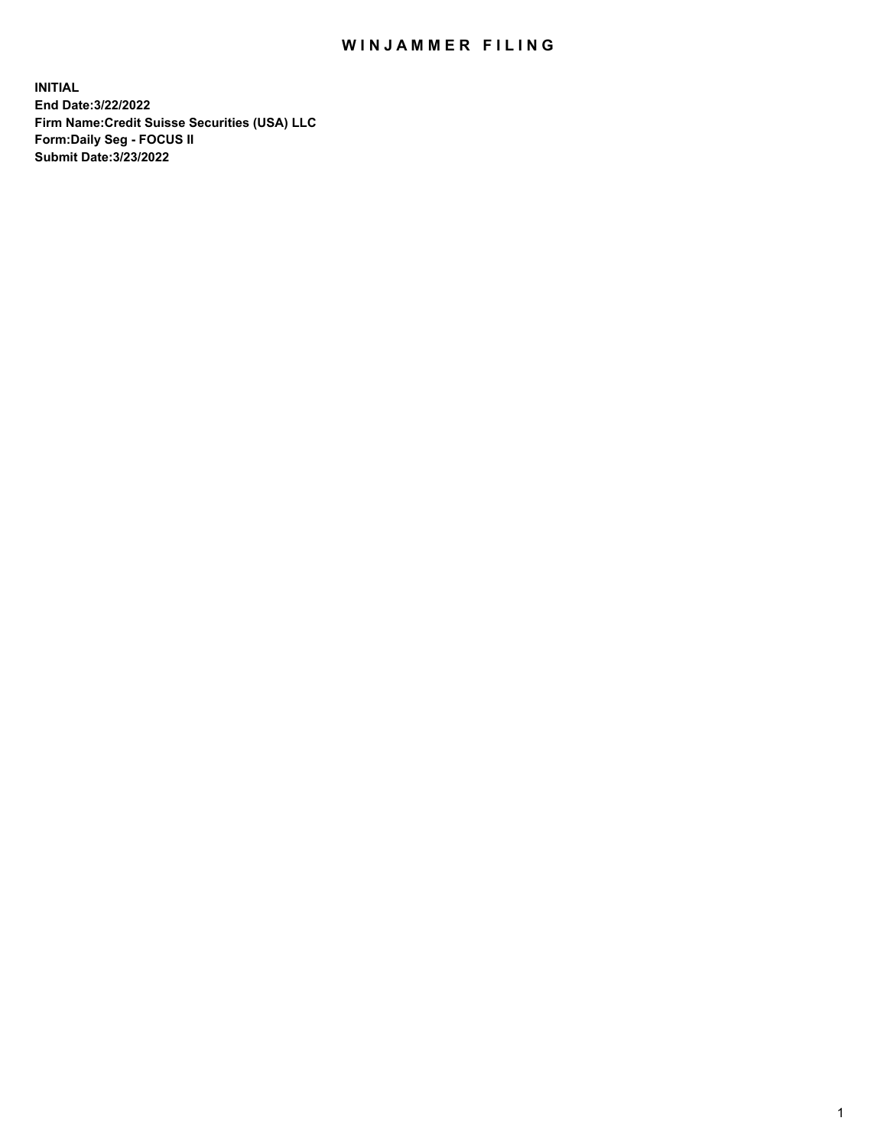## WIN JAMMER FILING

**INITIAL End Date:3/22/2022 Firm Name:Credit Suisse Securities (USA) LLC Form:Daily Seg - FOCUS II Submit Date:3/23/2022**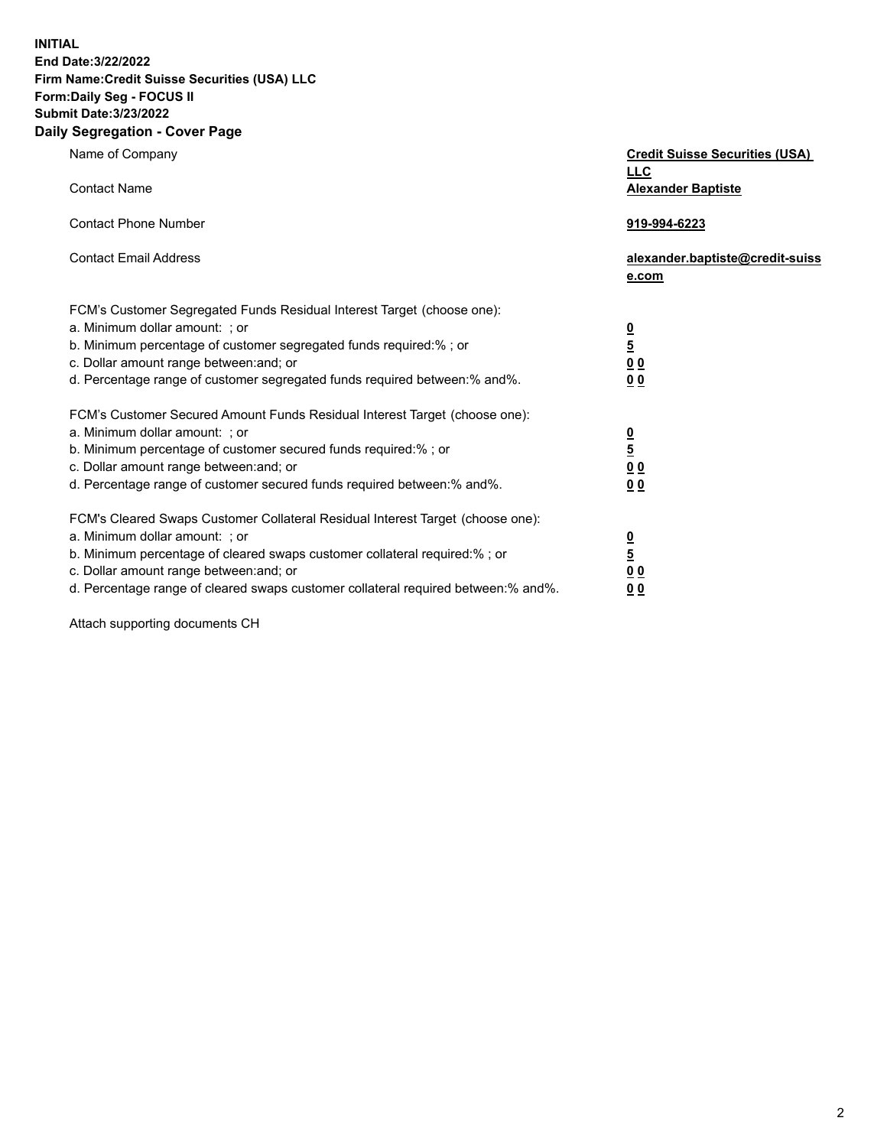**INITIAL End Date:3/22/2022** 

## **Firm Name:Credit Suisse Securities (USA) LLC Form:Daily Seg - FOCUS II Submit Date:3/23/2022**

## **Daily Segregation - Cover Page**

| Name of Company                                                                                                                                                                                                                                                                                                                | <b>Credit Suisse Securities (USA)</b><br><b>LLC</b>                |
|--------------------------------------------------------------------------------------------------------------------------------------------------------------------------------------------------------------------------------------------------------------------------------------------------------------------------------|--------------------------------------------------------------------|
| <b>Contact Name</b>                                                                                                                                                                                                                                                                                                            | <b>Alexander Baptiste</b>                                          |
| <b>Contact Phone Number</b>                                                                                                                                                                                                                                                                                                    | 919-994-6223                                                       |
| <b>Contact Email Address</b>                                                                                                                                                                                                                                                                                                   | alexander.baptiste@credit-suiss<br>e.com                           |
| FCM's Customer Segregated Funds Residual Interest Target (choose one):<br>a. Minimum dollar amount: : or<br>b. Minimum percentage of customer segregated funds required:% ; or<br>c. Dollar amount range between: and; or<br>d. Percentage range of customer segregated funds required between:% and%.                         | $\frac{0}{5}$<br>$\underline{0}$ $\underline{0}$<br>0 <sub>0</sub> |
| FCM's Customer Secured Amount Funds Residual Interest Target (choose one):<br>a. Minimum dollar amount: ; or<br>b. Minimum percentage of customer secured funds required:%; or<br>c. Dollar amount range between: and; or<br>d. Percentage range of customer secured funds required between:% and%.                            | $\frac{0}{5}$<br>$\underline{0}$ $\underline{0}$<br>0 <sub>0</sub> |
| FCM's Cleared Swaps Customer Collateral Residual Interest Target (choose one):<br>a. Minimum dollar amount: ; or<br>b. Minimum percentage of cleared swaps customer collateral required:% ; or<br>c. Dollar amount range between: and; or<br>d. Percentage range of cleared swaps customer collateral required between:% and%. | <u>0</u><br>$\overline{5}$<br>0 <sub>0</sub><br>0 <sub>0</sub>     |

Attach supporting documents CH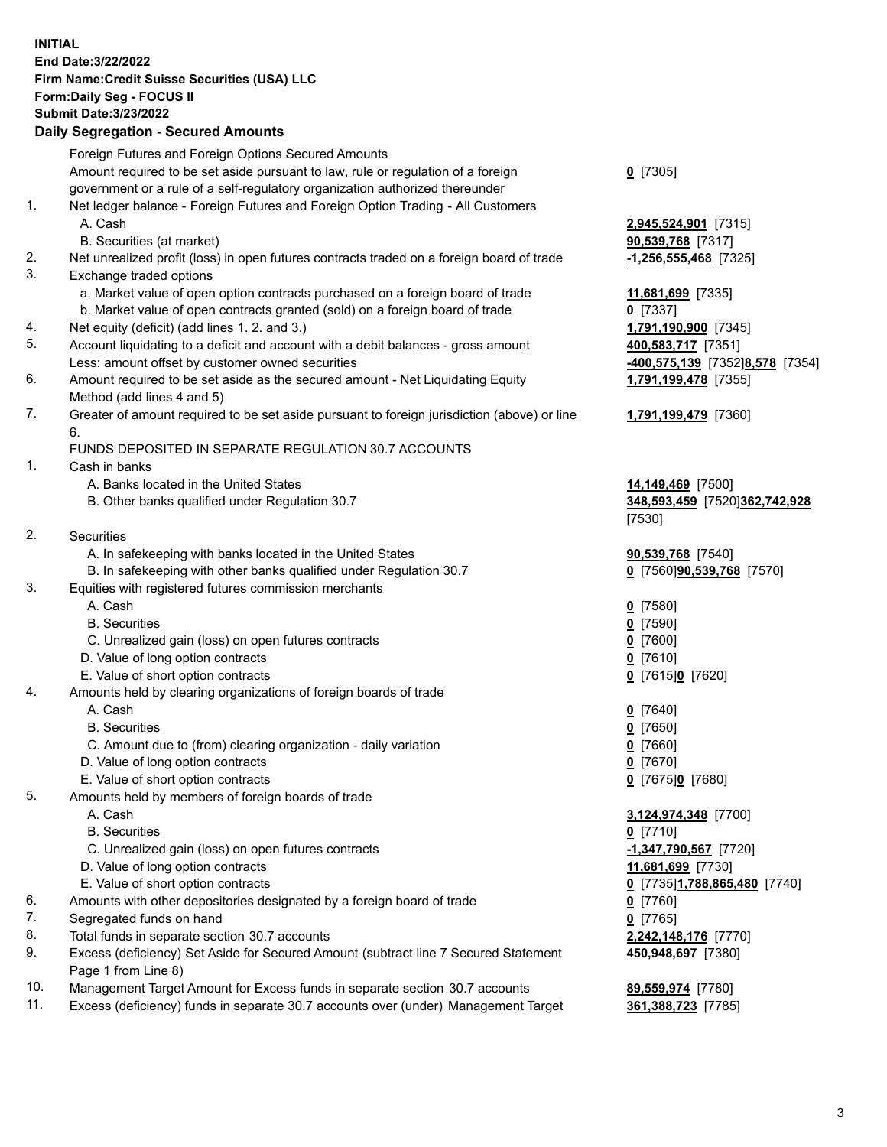**INITIAL End Date:3/22/2022 Firm Name:Credit Suisse Securities (USA) LLC Form:Daily Seg - FOCUS II Submit Date:3/23/2022** 

## **Daily Segregation - Secured Amounts**

|          | Foreign Futures and Foreign Options Secured Amounts                                                                                  |                                            |
|----------|--------------------------------------------------------------------------------------------------------------------------------------|--------------------------------------------|
|          | Amount required to be set aside pursuant to law, rule or regulation of a foreign                                                     | $0$ [7305]                                 |
|          | government or a rule of a self-regulatory organization authorized thereunder                                                         |                                            |
| 1.       | Net ledger balance - Foreign Futures and Foreign Option Trading - All Customers                                                      |                                            |
|          | A. Cash                                                                                                                              | 2,945,524,901 [7315]                       |
|          | B. Securities (at market)                                                                                                            | 90,539,768 [7317]                          |
| 2.       | Net unrealized profit (loss) in open futures contracts traded on a foreign board of trade                                            | $-1,256,555,468$ [7325]                    |
| 3.       | Exchange traded options                                                                                                              |                                            |
|          | a. Market value of open option contracts purchased on a foreign board of trade                                                       | 11,681,699 [7335]                          |
|          | b. Market value of open contracts granted (sold) on a foreign board of trade                                                         | $0$ [7337]                                 |
| 4.       | Net equity (deficit) (add lines 1. 2. and 3.)                                                                                        | 1,791,190,900 [7345]                       |
| 5.       | Account liquidating to a deficit and account with a debit balances - gross amount                                                    | 400,583,717 [7351]                         |
|          | Less: amount offset by customer owned securities                                                                                     | -400,575,139 [7352]8,578 [7354]            |
| 6.       | Amount required to be set aside as the secured amount - Net Liquidating Equity                                                       | 1,791,199,478 [7355]                       |
|          | Method (add lines 4 and 5)                                                                                                           |                                            |
| 7.       | Greater of amount required to be set aside pursuant to foreign jurisdiction (above) or line                                          | 1,791,199,479 [7360]                       |
|          | 6.                                                                                                                                   |                                            |
|          | FUNDS DEPOSITED IN SEPARATE REGULATION 30.7 ACCOUNTS                                                                                 |                                            |
| 1.       | Cash in banks                                                                                                                        |                                            |
|          | A. Banks located in the United States                                                                                                | 14,149,469 [7500]                          |
|          | B. Other banks qualified under Regulation 30.7                                                                                       | 348,593,459 [7520]362,742,928              |
|          |                                                                                                                                      | [7530]                                     |
| 2.       | Securities                                                                                                                           |                                            |
|          | A. In safekeeping with banks located in the United States                                                                            | 90,539,768 [7540]                          |
|          | B. In safekeeping with other banks qualified under Regulation 30.7                                                                   | 0 [7560] 90,539,768 [7570]                 |
| 3.       | Equities with registered futures commission merchants                                                                                |                                            |
|          | A. Cash                                                                                                                              | $0$ [7580]                                 |
|          | <b>B.</b> Securities                                                                                                                 | $0$ [7590]                                 |
|          | C. Unrealized gain (loss) on open futures contracts                                                                                  | $0$ [7600]                                 |
|          | D. Value of long option contracts                                                                                                    | $0$ [7610]                                 |
|          | E. Value of short option contracts                                                                                                   | 0 [7615]0 [7620]                           |
| 4.       | Amounts held by clearing organizations of foreign boards of trade                                                                    |                                            |
|          | A. Cash                                                                                                                              | $0$ [7640]                                 |
|          | <b>B.</b> Securities                                                                                                                 | $0$ [7650]                                 |
|          | C. Amount due to (from) clearing organization - daily variation                                                                      | $0$ [7660]                                 |
|          | D. Value of long option contracts                                                                                                    | $0$ [7670]                                 |
|          | E. Value of short option contracts                                                                                                   | 0 [7675]0 [7680]                           |
| 5.       | Amounts held by members of foreign boards of trade                                                                                   |                                            |
|          | A. Cash                                                                                                                              | 3,124,974,348 [7700]                       |
|          | <b>B.</b> Securities                                                                                                                 | $0$ [7710]                                 |
|          | C. Unrealized gain (loss) on open futures contracts                                                                                  | $-1,347,790,567$ [7720]                    |
|          | D. Value of long option contracts                                                                                                    | 11,681,699 [7730]                          |
|          | E. Value of short option contracts                                                                                                   | 0 [7735]1,788,865,480 [7740]               |
| 6.<br>7. | Amounts with other depositories designated by a foreign board of trade                                                               | $0$ [7760]                                 |
| 8.       | Segregated funds on hand                                                                                                             | $0$ [7765]                                 |
| 9.       | Total funds in separate section 30.7 accounts<br>Excess (deficiency) Set Aside for Secured Amount (subtract line 7 Secured Statement | 2,242,148,176 [7770]<br>450,948,697 [7380] |
|          | Page 1 from Line 8)                                                                                                                  |                                            |
| 10.      | Management Target Amount for Excess funds in separate section 30.7 accounts                                                          | 89,559,974 [7780]                          |

11. Excess (deficiency) funds in separate 30.7 accounts over (under) Management Target **361,388,723** [7785]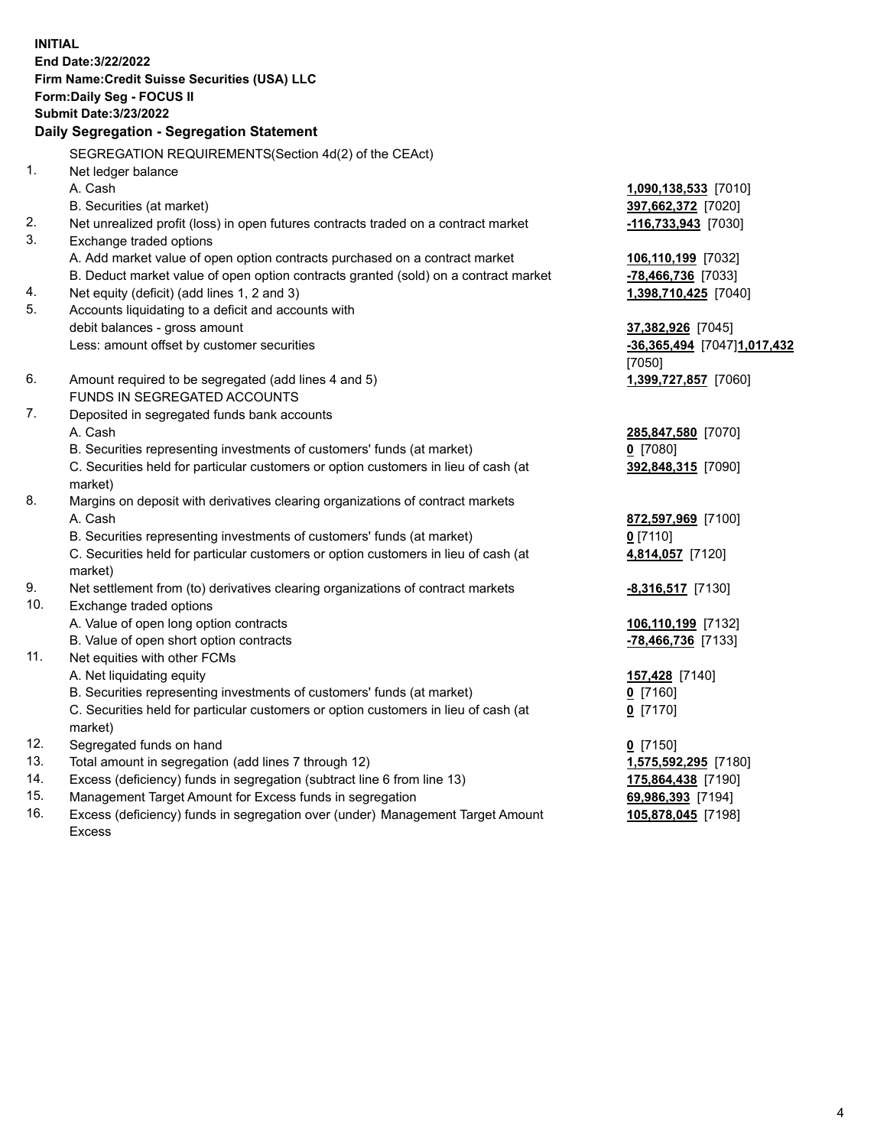**INITIAL End Date:3/22/2022 Firm Name:Credit Suisse Securities (USA) LLC Form:Daily Seg - FOCUS II Submit Date:3/23/2022 Daily Segregation - Segregation Statement**  SEGREGATION REQUIREMENTS(Section 4d(2) of the CEAct) 1. Net ledger balance A. Cash **1,090,138,533** [7010] B. Securities (at market) **397,662,372** [7020] 2. Net unrealized profit (loss) in open futures contracts traded on a contract market **-116,733,943** [7030] 3. Exchange traded options A. Add market value of open option contracts purchased on a contract market **106,110,199** [7032] B. Deduct market value of open option contracts granted (sold) on a contract market **-78,466,736** [7033] 4. Net equity (deficit) (add lines 1, 2 and 3) **1,398,710,425** [7040] 5. Accounts liquidating to a deficit and accounts with debit balances - gross amount **37,382,926** [7045] Less: amount offset by customer securities **-36,365,494** [7047] **1,017,432**  [7050] 6. Amount required to be segregated (add lines 4 and 5) **1,399,727,857** [7060] FUNDS IN SEGREGATED ACCOUNTS 7. Deposited in segregated funds bank accounts A. Cash **285,847,580** [7070] B. Securities representing investments of customers' funds (at market) **0** [7080] C. Securities held for particular customers or option customers in lieu of cash (at **392,848,315** [7090] market) 8. Margins on deposit with derivatives clearing organizations of contract markets A. Cash **872,597,969** [7100] B. Securities representing investments of customers' funds (at market) **0** [7110] C. Securities held for particular customers or option customers in lieu of cash (at **4,814,057** [7120] market) 9. Net settlement from (to) derivatives clearing organizations of contract markets **-8,316,517** [7130] 10. Exchange traded options A. Value of open long option contracts **106,110,199** [7132]

- B. Value of open short option contracts **and the set of our of the set of our of the set of the set of the set of the set of the set of the set of the set of the set of the set of the set of the set of the set of the set o**
- 11. Net equities with other FCMs
	- A. Net liquidating equity
	- B. Securities representing investments of customers' funds (at market)
	- C. Securities held for particular customers or option customers in lieu of cash (at **0** [7170] market)
- 12. Segregated funds on hand **0** [7150]
- 13. Total amount in segregation (add lines 7 through 12) **1,575,592,295** [7180]
- 14. Excess (deficiency) funds in segregation (subtract line 6 from line 13) **175,864,438** [7190]
- 15. Management Target Amount for Excess funds in segregation **69,986,393** [7194]
- 16. Excess (deficiency) funds in segregation over (under) Management Target Amount **105,878,045** [7198] Excess

| <mark>157,428</mark> [7140] |  |
|-----------------------------|--|
| 0 [7160]                    |  |
| . <i>.</i>                  |  |